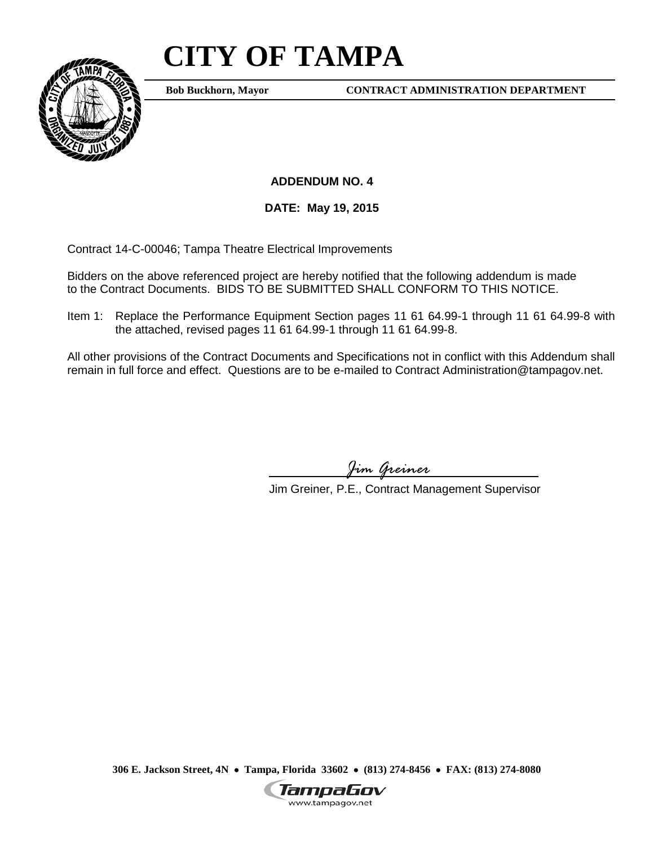## **CITY OF TAMPA**



**Bob Buckhorn, Mayor**

**CONTRACT ADMINISTRATION DEPARTMENT**

**ADDENDUM NO. 4**

**DATE: May 19, 2015**

Contract 14-C-00046; Tampa Theatre Electrical Improvements

Bidders on the above referenced project are hereby notified that the following addendum is made to the Contract Documents. BIDS TO BE SUBMITTED SHALL CONFORM TO THIS NOTICE.

Item 1: Replace the Performance Equipment Section pages 11 61 64.99-1 through 11 61 64.99-8 with the attached, revised pages 11 61 64.99-1 through 11 61 64.99-8.

All other provisions of the Contract Documents and Specifications not in conflict with this Addendum shall remain in full force and effect. Questions are to be e-mailed to Contract Administration@tampagov.net.

*Jim Greiner*

Jim Greiner, P.E., Contract Management Supervisor

**306 E. Jackson Street, 4N** • **Tampa, Florida 33602** • **(813) 274-8456** • **FAX: (813) 274-8080**

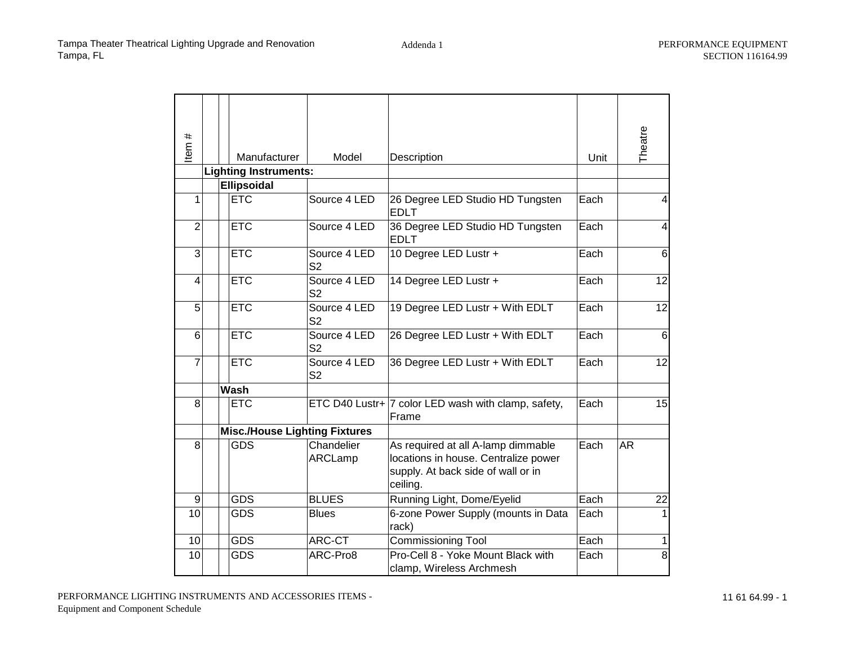| $\pmb{\ast}$<br>ltem | Manufacturer                         | Model                          | Description                                                                                                                  | Unit | Theatre         |
|----------------------|--------------------------------------|--------------------------------|------------------------------------------------------------------------------------------------------------------------------|------|-----------------|
|                      | <b>Lighting Instruments:</b>         |                                |                                                                                                                              |      |                 |
|                      | <b>Ellipsoidal</b>                   |                                |                                                                                                                              |      |                 |
| 1                    | <b>ETC</b>                           | Source 4 LED                   | 26 Degree LED Studio HD Tungsten<br><b>EDLT</b>                                                                              | Each | $\overline{4}$  |
| $\overline{2}$       | <b>ETC</b>                           | Source 4 LED                   | 36 Degree LED Studio HD Tungsten<br><b>EDLT</b>                                                                              | Each | $\overline{4}$  |
| 3                    | <b>ETC</b>                           | Source 4 LED<br>S <sub>2</sub> | 10 Degree LED Lustr +                                                                                                        | Each | 6               |
| 4                    | <b>ETC</b>                           | Source 4 LED<br>S <sub>2</sub> | 14 Degree LED Lustr +                                                                                                        | Each | 12              |
| 5                    | <b>ETC</b>                           | Source 4 LED<br>S <sub>2</sub> | 19 Degree LED Lustr + With EDLT                                                                                              | Each | 12              |
| 6                    | <b>ETC</b>                           | Source 4 LED<br>S <sub>2</sub> | 26 Degree LED Lustr + With EDLT                                                                                              | Each | $6\phantom{1}6$ |
| $\overline{7}$       | <b>ETC</b>                           | Source 4 LED<br>S <sub>2</sub> | 36 Degree LED Lustr + With EDLT                                                                                              | Each | 12              |
|                      | Wash                                 |                                |                                                                                                                              |      |                 |
| 8                    | <b>ETC</b>                           |                                | ETC D40 Lustr+ $ 7$ color LED wash with clamp, safety,<br>Frame                                                              | Each | 15              |
|                      | <b>Misc./House Lighting Fixtures</b> |                                |                                                                                                                              |      |                 |
| 8                    | <b>GDS</b>                           | Chandelier<br>ARCLamp          | As required at all A-lamp dimmable<br>locations in house. Centralize power<br>supply. At back side of wall or in<br>ceiling. | Each | <b>AR</b>       |
| 9                    | <b>GDS</b>                           | <b>BLUES</b>                   | Running Light, Dome/Eyelid                                                                                                   | Each | 22              |
| $\overline{10}$      | <b>GDS</b>                           | <b>Blues</b>                   | 6-zone Power Supply (mounts in Data<br>rack)                                                                                 | Each |                 |
| 10                   | <b>GDS</b>                           | ARC-CT                         | <b>Commissioning Tool</b>                                                                                                    | Each | 1               |
| 10                   | <b>GDS</b>                           | ARC-Pro8                       | Pro-Cell 8 - Yoke Mount Black with<br>clamp, Wireless Archmesh                                                               | Each | 8               |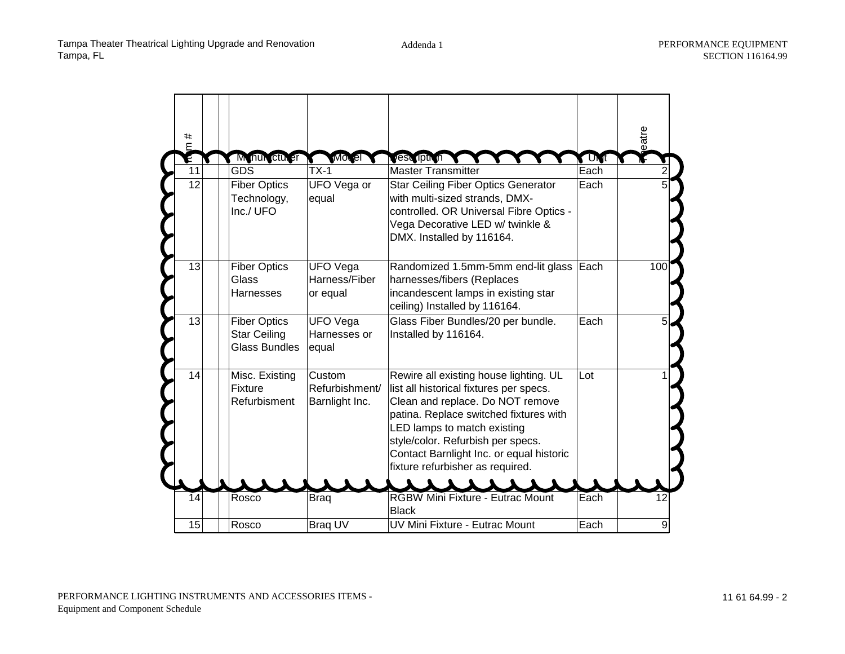| #<br>$\epsilon$ |                                                                    |                                              |                                                                                                                                                                                                                                                                                                                     |      | eatre |
|-----------------|--------------------------------------------------------------------|----------------------------------------------|---------------------------------------------------------------------------------------------------------------------------------------------------------------------------------------------------------------------------------------------------------------------------------------------------------------------|------|-------|
| É               | M nui clu er                                                       | Movel                                        | vest riptiun                                                                                                                                                                                                                                                                                                        | UNIT |       |
| 11              | <b>GDS</b>                                                         | $TX-1$                                       | <b>Master Transmitter</b>                                                                                                                                                                                                                                                                                           | Each |       |
| 12              | <b>Fiber Optics</b><br>Technology,<br>Inc./ UFO                    | UFO Vega or<br>equal                         | <b>Star Ceiling Fiber Optics Generator</b><br>with multi-sized strands, DMX-<br>controlled. OR Universal Fibre Optics -<br>Vega Decorative LED w/ twinkle &<br>DMX. Installed by 116164.                                                                                                                            | Each |       |
| 13              | <b>Fiber Optics</b><br><b>Glass</b><br><b>Harnesses</b>            | <b>UFO Vega</b><br>Harness/Fiber<br>or equal | Randomized 1.5mm-5mm end-lit glass<br>harnesses/fibers (Replaces<br>incandescent lamps in existing star<br>ceiling) Installed by 116164.                                                                                                                                                                            | Each | 100   |
| 13              | <b>Fiber Optics</b><br><b>Star Ceiling</b><br><b>Glass Bundles</b> | <b>UFO Vega</b><br>Harnesses or<br>equal     | Glass Fiber Bundles/20 per bundle.<br>Installed by 116164.                                                                                                                                                                                                                                                          | Each |       |
| 14              | Misc. Existing<br>Fixture<br>Refurbisment                          | Custom<br>Refurbishment/<br>Barnlight Inc.   | Rewire all existing house lighting. UL<br>list all historical fixtures per specs.<br>Clean and replace. Do NOT remove<br>patina. Replace switched fixtures with<br>LED lamps to match existing<br>style/color. Refurbish per specs.<br>Contact Barnlight Inc. or equal historic<br>fixture refurbisher as required. | Lot  |       |
| 14              | Rosco                                                              | <b>Braq</b>                                  | <b>RGBW Mini Fixture - Eutrac Mount</b><br><b>Black</b>                                                                                                                                                                                                                                                             | Each |       |
| 15              | Rosco                                                              | <b>Brag UV</b>                               | UV Mini Fixture - Eutrac Mount                                                                                                                                                                                                                                                                                      | Each |       |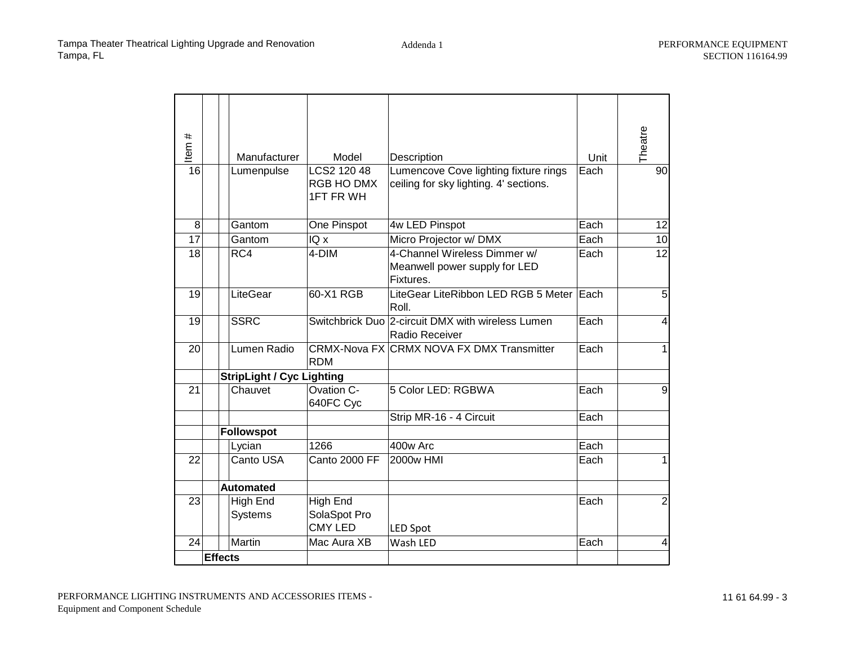| $\pmb{\ast}$<br>Item |                | <b>Manufacturer</b>               | Model                                             | <b>Description</b>                                                              | Unit | Theatre          |
|----------------------|----------------|-----------------------------------|---------------------------------------------------|---------------------------------------------------------------------------------|------|------------------|
| 16                   |                | Lumenpulse                        | LCS2 120 48<br>RGB HO DMX<br><b>1FT FR WH</b>     | Lumencove Cove lighting fixture rings<br>ceiling for sky lighting. 4' sections. | Each | 90               |
| 8                    |                | Gantom                            | One Pinspot                                       | 4w LED Pinspot                                                                  | Each | 12               |
| 17                   |                | Gantom                            | $IQ \times$                                       | Micro Projector w/ DMX                                                          | Each | 10               |
| 18                   |                | RC4                               | 4-DIM                                             | 4-Channel Wireless Dimmer w/<br>Meanwell power supply for LED<br>Fixtures.      | Each | 12               |
| 19                   |                | LiteGear                          | 60-X1 RGB                                         | LiteGear LiteRibbon LED RGB 5 Meter<br>Roll.                                    | Each | 5 <sup>1</sup>   |
| 19                   |                | <b>SSRC</b>                       |                                                   | Switchbrick Duo 2-circuit DMX with wireless Lumen<br>Radio Receiver             | Each | $\overline{4}$   |
| 20                   |                | Lumen Radio                       | <b>RDM</b>                                        | CRMX-Nova FX CRMX NOVA FX DMX Transmitter                                       | Each | $\mathbf{1}$     |
|                      |                | <b>StripLight / Cyc Lighting</b>  |                                                   |                                                                                 |      |                  |
| 21                   |                | Chauvet                           | Ovation C-<br>640FC Cyc                           | 5 Color LED: RGBWA                                                              | Each | 9                |
|                      |                |                                   |                                                   | Strip MR-16 - 4 Circuit                                                         | Each |                  |
|                      |                | <b>Followspot</b>                 |                                                   |                                                                                 |      |                  |
|                      |                | Lycian                            | 1266                                              | 400w Arc                                                                        | Each |                  |
| 22                   |                | Canto USA                         | Canto 2000 FF                                     | 2000w HMI                                                                       | Each | 1                |
|                      |                | <b>Automated</b>                  |                                                   |                                                                                 |      |                  |
| 23                   |                | <b>High End</b><br><b>Systems</b> | <b>High End</b><br>SolaSpot Pro<br><b>CMY LED</b> | <b>LED Spot</b>                                                                 | Each | $\overline{2}$   |
| 24                   |                | Martin                            | Mac Aura XB                                       | Wash LED                                                                        | Each | $\left 4\right $ |
|                      | <b>Effects</b> |                                   |                                                   |                                                                                 |      |                  |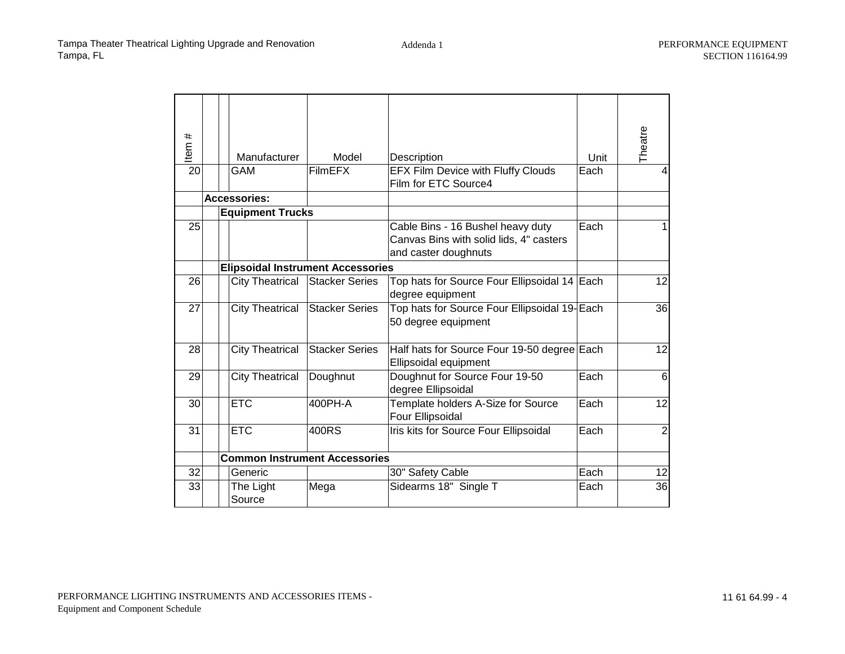| #<br>Item       | Manufacturer                             | Model                 | Description                                                                                          | Unit | Theatre        |
|-----------------|------------------------------------------|-----------------------|------------------------------------------------------------------------------------------------------|------|----------------|
| $\overline{20}$ | <b>GAM</b>                               | <b>FilmEFX</b>        | <b>EFX Film Device with Fluffy Clouds</b><br>Film for ETC Source4                                    | Each | 4              |
|                 | <b>Accessories:</b>                      |                       |                                                                                                      |      |                |
|                 | <b>Equipment Trucks</b>                  |                       |                                                                                                      |      |                |
| 25              |                                          |                       | Cable Bins - 16 Bushel heavy duty<br>Canvas Bins with solid lids, 4" casters<br>and caster doughnuts | Each |                |
|                 | <b>Elipsoidal Instrument Accessories</b> |                       |                                                                                                      |      |                |
| 26              | <b>City Theatrical</b>                   | <b>Stacker Series</b> | Top hats for Source Four Ellipsoidal 14 Each<br>degree equipment                                     |      | 12             |
| 27              | <b>City Theatrical</b>                   | <b>Stacker Series</b> | Top hats for Source Four Ellipsoidal 19-Each<br>50 degree equipment                                  |      | 36             |
| 28              | <b>City Theatrical</b>                   | <b>Stacker Series</b> | Half hats for Source Four 19-50 degree Each<br>Ellipsoidal equipment                                 |      | 12             |
| 29              | <b>City Theatrical</b>                   | Doughnut              | Doughnut for Source Four 19-50<br>degree Ellipsoidal                                                 | Each | 6              |
| 30              | <b>ETC</b>                               | 400PH-A               | Template holders A-Size for Source<br>Four Ellipsoidal                                               | Each | 12             |
| 31              | <b>ETC</b>                               | 400RS                 | Iris kits for Source Four Ellipsoidal                                                                | Each | $\overline{2}$ |
|                 | <b>Common Instrument Accessories</b>     |                       |                                                                                                      |      |                |
| 32              | Generic                                  |                       | 30" Safety Cable                                                                                     | Each | 12             |
| 33              | The Light<br>Source                      | Mega                  | Sidearms 18" Single T                                                                                | Each | 36             |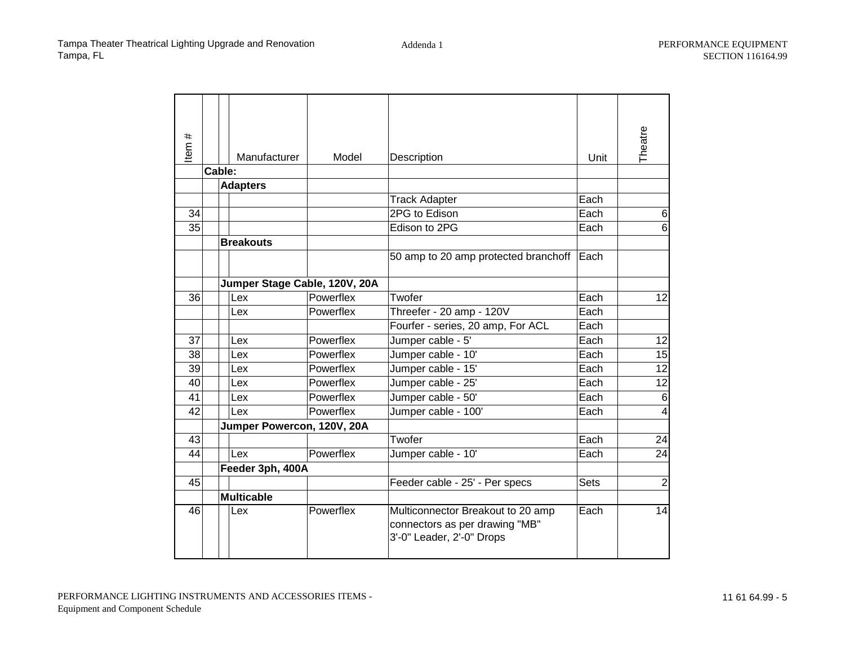| #<br>Item | Manufacturer                  | Model     | Description                                                                                      | Unit        | Theatre          |
|-----------|-------------------------------|-----------|--------------------------------------------------------------------------------------------------|-------------|------------------|
|           | Cable:                        |           |                                                                                                  |             |                  |
|           | <b>Adapters</b>               |           |                                                                                                  |             |                  |
|           |                               |           | <b>Track Adapter</b>                                                                             | Each        |                  |
| 34        |                               |           | 2PG to Edison                                                                                    | Each        | 6                |
| 35        |                               |           | Edison to 2PG                                                                                    | Each        | 6                |
|           | <b>Breakouts</b>              |           | 50 amp to 20 amp protected branchoff                                                             | Each        |                  |
|           | Jumper Stage Cable, 120V, 20A |           |                                                                                                  |             |                  |
| 36        | Lex                           | Powerflex | Twofer                                                                                           | Each        | 12               |
|           | Lex                           | Powerflex | Threefer - 20 amp - 120V                                                                         | Each        |                  |
|           |                               |           | Fourfer - series, 20 amp, For ACL                                                                | Each        |                  |
| 37        | Lex                           | Powerflex | Jumper cable - 5'                                                                                | Each        | 12               |
| 38        | Lex                           | Powerflex | Jumper cable - 10'                                                                               | Each        | 15               |
| 39        | Lex                           | Powerflex | Jumper cable - 15'                                                                               | Each        | 12               |
| 40        | Lex                           | Powerflex | Jumper cable - 25'                                                                               | Each        | 12               |
| 41        | Lex                           | Powerflex | Jumper cable - 50'                                                                               | Each        | $6 \overline{6}$ |
| 42        | Lex                           | Powerflex | Jumper cable - 100'                                                                              | Each        | $\overline{4}$   |
|           | Jumper Powercon, 120V, 20A    |           |                                                                                                  |             |                  |
| 43        |                               |           | Twofer                                                                                           | Each        | 24               |
| 44        | Lex                           | Powerflex | Jumper cable - 10'                                                                               | Each        | 24               |
|           | Feeder 3ph, 400A              |           |                                                                                                  |             |                  |
| 45        |                               |           | Feeder cable - 25' - Per specs                                                                   | <b>Sets</b> | $\overline{2}$   |
|           | <b>Multicable</b>             |           |                                                                                                  |             |                  |
| 46        | Lex                           | Powerflex | Multiconnector Breakout to 20 amp<br>connectors as per drawing "MB"<br>3'-0" Leader, 2'-0" Drops | Each        | 14               |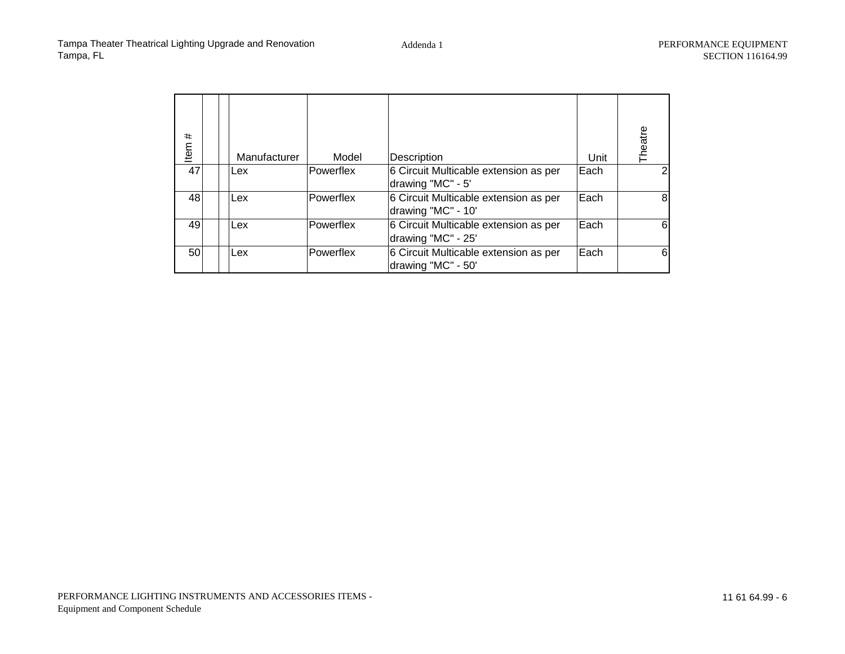| #<br>ltem | Manufacturer | Model     | <b>Description</b>                                          | Unit | Theatre |
|-----------|--------------|-----------|-------------------------------------------------------------|------|---------|
| 47        | Lex          | Powerflex | 6 Circuit Multicable extension as per<br>drawing "MC" - 5'  | Each |         |
| 48        | Lex          | Powerflex | 6 Circuit Multicable extension as per<br>drawing "MC" - 10' | Each | 81      |
| 49        | Lex          | Powerflex | 6 Circuit Multicable extension as per<br>drawing "MC" - 25' | Each | 6       |
| 50        | Lex          | Powerflex | 6 Circuit Multicable extension as per<br>drawing "MC" - 50' | Each | 6       |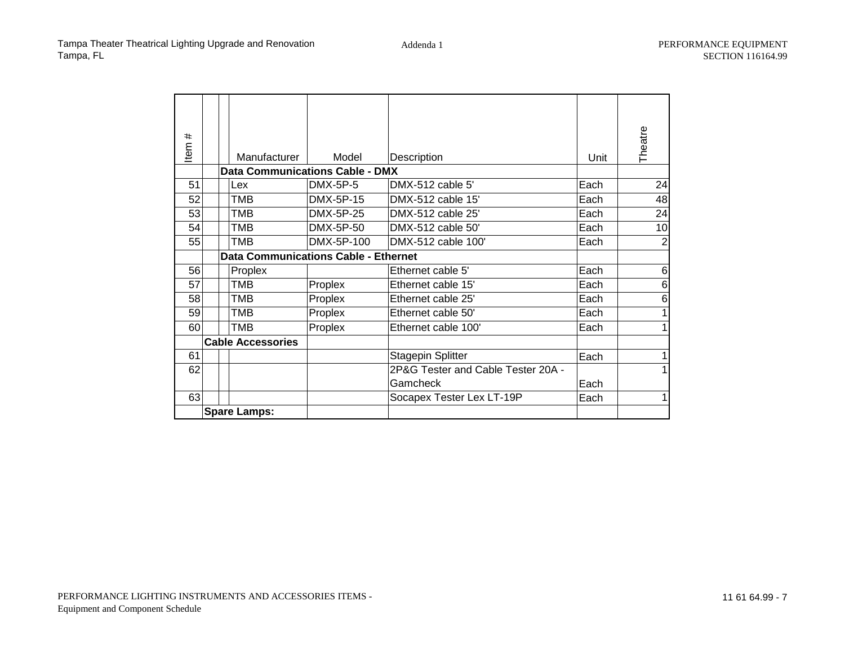| #<br>Item | Manufacturer                                | Model      | <b>Description</b>                 | Unit | Theatre        |
|-----------|---------------------------------------------|------------|------------------------------------|------|----------------|
|           | <b>Data Communications Cable - DMX</b>      |            |                                    |      |                |
| 51        | Lex                                         | $DMX-5P-5$ | DMX-512 cable 5'                   | Each | 24             |
| 52        | <b>TMB</b>                                  | DMX-5P-15  | DMX-512 cable 15'                  | Each | 48             |
| 53        | <b>TMB</b>                                  | DMX-5P-25  | DMX-512 cable 25'                  | Each | 24             |
| 54        | TMB                                         | DMX-5P-50  | DMX-512 cable 50'                  | Each | 10             |
| 55        | TMB                                         | DMX-5P-100 | DMX-512 cable 100'                 | Each | $\overline{2}$ |
|           | <b>Data Communications Cable - Ethernet</b> |            |                                    |      |                |
| 56        | Proplex                                     |            | Ethernet cable 5'                  | Each | 6              |
| 57        | <b>TMB</b>                                  | Proplex    | Ethernet cable 15'                 | Each | $\,6$          |
| 58        | TMB                                         | Proplex    | Ethernet cable 25'                 | Each | $\,6$          |
| 59        | <b>TMB</b>                                  | Proplex    | Ethernet cable 50'                 | Each | $\mathbf{1}$   |
| 60        | <b>TMB</b>                                  | Proplex    | Ethernet cable 100'                | Each | 1              |
|           | <b>Cable Accessories</b>                    |            |                                    |      |                |
| 61        |                                             |            | <b>Stagepin Splitter</b>           | Each | $\mathbf{1}$   |
| 62        |                                             |            | 2P&G Tester and Cable Tester 20A - |      | $\mathbf{1}$   |
|           |                                             |            | Gamcheck                           | Each |                |
| 63        |                                             |            | Socapex Tester Lex LT-19P          | Each | $\mathbf{1}$   |
|           | <b>Spare Lamps:</b>                         |            |                                    |      |                |
|           |                                             |            |                                    |      |                |